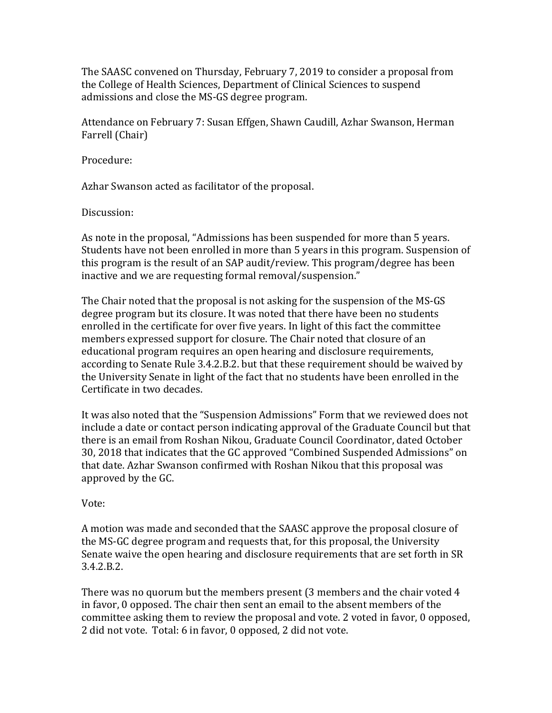The SAASC convened on Thursday, February 7, 2019 to consider a proposal from the College of Health Sciences, Department of Clinical Sciences to suspend admissions and close the MS-GS degree program.

Attendance on February 7: Susan Effgen, Shawn Caudill, Azhar Swanson, Herman Farrell (Chair)

Procedure:

Azhar Swanson acted as facilitator of the proposal.

Discussion:

As note in the proposal, "Admissions has been suspended for more than 5 years. Students have not been enrolled in more than 5 years in this program. Suspension of this program is the result of an SAP audit/review. This program/degree has been inactive and we are requesting formal removal/suspension."

The Chair noted that the proposal is not asking for the suspension of the MS-GS degree program but its closure. It was noted that there have been no students enrolled in the certificate for over five years. In light of this fact the committee members expressed support for closure. The Chair noted that closure of an educational program requires an open hearing and disclosure requirements, according to Senate Rule 3.4.2.B.2. but that these requirement should be waived by the University Senate in light of the fact that no students have been enrolled in the Certificate in two decades.

It was also noted that the "Suspension Admissions" Form that we reviewed does not include a date or contact person indicating approval of the Graduate Council but that there is an email from Roshan Nikou, Graduate Council Coordinator, dated October 30, 2018 that indicates that the GC approved "Combined Suspended Admissions" on that date. Azhar Swanson confirmed with Roshan Nikou that this proposal was approved by the GC.

Vote:

A motion was made and seconded that the SAASC approve the proposal closure of the MS-GC degree program and requests that, for this proposal, the University Senate waive the open hearing and disclosure requirements that are set forth in SR 3.4.2.B.2.

There was no quorum but the members present (3 members and the chair voted 4 in favor, 0 opposed. The chair then sent an email to the absent members of the committee asking them to review the proposal and vote. 2 voted in favor, 0 opposed, 2 did not vote. Total: 6 in favor, 0 opposed, 2 did not vote.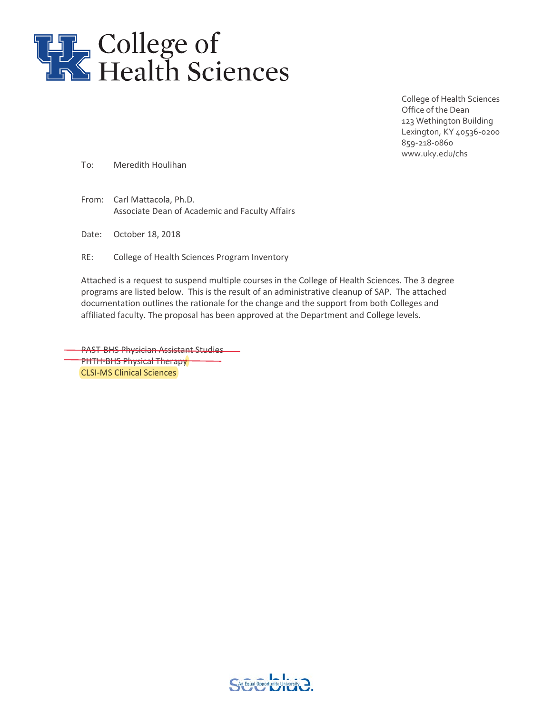

College of Health Sciences Office of the Dean 123 Wethington Building Lexington, KY 40536-0200 859-218-0860 www.uky.edu/chs

To: Meredith Houlihan

From: Carl Mattacola, Ph.D. Associate Dean of Academic and Faculty Affairs

Date: October 18, 2018

RE: College of Health Sciences Program Inventory

Attached is a request to suspend multiple courses in the College of Health Sciences. The 3 degree programs are listed below. This is the result of an administrative cleanup of SAP. The attached documentation outlines the rationale for the change and the support from both Colleges and affiliated faculty. The proposal has been approved at the Department and College levels.

**PAST BHS Physician Assistant Studies PHTH-BHS Physical Therapy** CLSI-MS Clinical Sciences

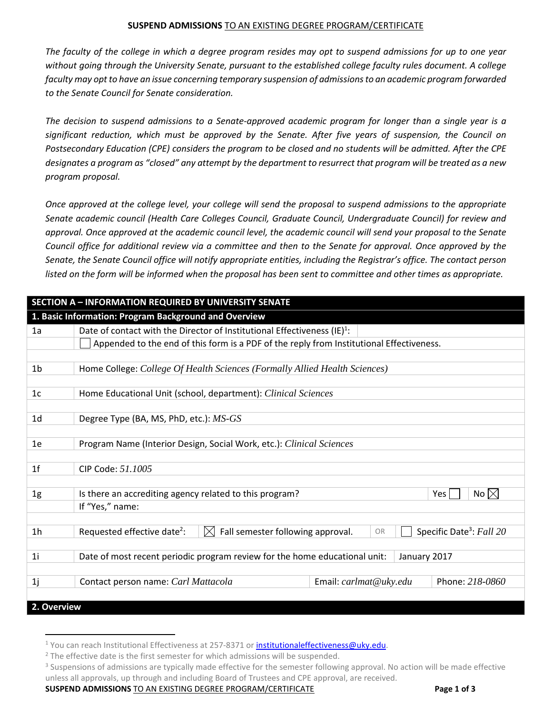#### **SUSPEND ADMISSIONS** TO AN EXISTING DEGREE PROGRAM/CERTIFICATE

*The faculty of the college in which a degree program resides may opt to suspend admissions for up to one year without going through the University Senate, pursuant to the established college faculty rules document. A college faculty may opt to have an issue concerning temporary suspension of admissions to an academic program forwarded to the Senate Council for Senate consideration.* 

*The decision to suspend admissions to a Senate-approved academic program for longer than a single year is a significant reduction, which must be approved by the Senate. After five years of suspension, the Council on Postsecondary Education (CPE) considers the program to be closed and no students will be admitted. After the CPE designates a program as "closed" any attempt by the department to resurrect that program will be treated as a new program proposal.*

*Once approved at the college level, your college will send the proposal to suspend admissions to the appropriate Senate academic council (Health Care Colleges Council, Graduate Council, Undergraduate Council) for review and approval. Once approved at the academic council level, the academic council will send your proposal to the Senate Council office for additional review via a committee and then to the Senate for approval. Once approved by the Senate, the Senate Council office will notify appropriate entities, including the Registrar's office. The contact person listed on the form will be informed when the proposal has been sent to committee and other times as appropriate.*

| <b>SECTION A - INFORMATION REQUIRED BY UNIVERSITY SENATE</b> |                                                                                              |                        |                                      |
|--------------------------------------------------------------|----------------------------------------------------------------------------------------------|------------------------|--------------------------------------|
|                                                              | 1. Basic Information: Program Background and Overview                                        |                        |                                      |
| 1a                                                           | Date of contact with the Director of Institutional Effectiveness $(E)^1$ :                   |                        |                                      |
|                                                              | Appended to the end of this form is a PDF of the reply from Institutional Effectiveness.     |                        |                                      |
|                                                              |                                                                                              |                        |                                      |
| 1b                                                           | Home College: College Of Health Sciences (Formally Allied Health Sciences)                   |                        |                                      |
|                                                              |                                                                                              |                        |                                      |
| 1c                                                           | Home Educational Unit (school, department): Clinical Sciences                                |                        |                                      |
|                                                              |                                                                                              |                        |                                      |
| 1 <sub>d</sub>                                               | Degree Type (BA, MS, PhD, etc.): MS-GS                                                       |                        |                                      |
|                                                              |                                                                                              |                        |                                      |
| 1e                                                           | Program Name (Interior Design, Social Work, etc.): Clinical Sciences                         |                        |                                      |
|                                                              |                                                                                              |                        |                                      |
| 1 <sup>f</sup>                                               | CIP Code: 51.1005                                                                            |                        |                                      |
|                                                              |                                                                                              |                        |                                      |
| 1g                                                           | Is there an accrediting agency related to this program?                                      |                        | No $\boxtimes$<br>Yes                |
|                                                              | If "Yes," name:                                                                              |                        |                                      |
| 1 <sub>h</sub>                                               | Fall semester following approval.<br>Requested effective date <sup>2</sup> :<br>$\mathbb{X}$ | OR                     | Specific Date <sup>3</sup> : Fall 20 |
|                                                              |                                                                                              |                        |                                      |
| 1i                                                           | Date of most recent periodic program review for the home educational unit:                   | January 2017           |                                      |
|                                                              |                                                                                              |                        |                                      |
| 1j                                                           | Contact person name: Carl Mattacola                                                          | Email: carlmat@uky.edu | Phone: 218-0860                      |
|                                                              |                                                                                              |                        |                                      |
| 2. Overview                                                  |                                                                                              |                        |                                      |

**SUSPEND ADMISSIONS** TO AN EXISTING DEGREE PROGRAM/CERTIFICATE **Page 1 of 3**

 $1$  You can reach Institutional Effectiveness at 257-8371 or [institutionaleffectiveness@uky.edu.](mailto:institutionaleffectiveness@uky.edu?subject=Question%20RE%20Suspend%20Admissions%20Form)

<sup>&</sup>lt;sup>2</sup> The effective date is the first semester for which admissions will be suspended.

<sup>&</sup>lt;sup>3</sup> Suspensions of admissions are typically made effective for the semester following approval. No action will be made effective unless all approvals, up through and including Board of Trustees and CPE approval, are received.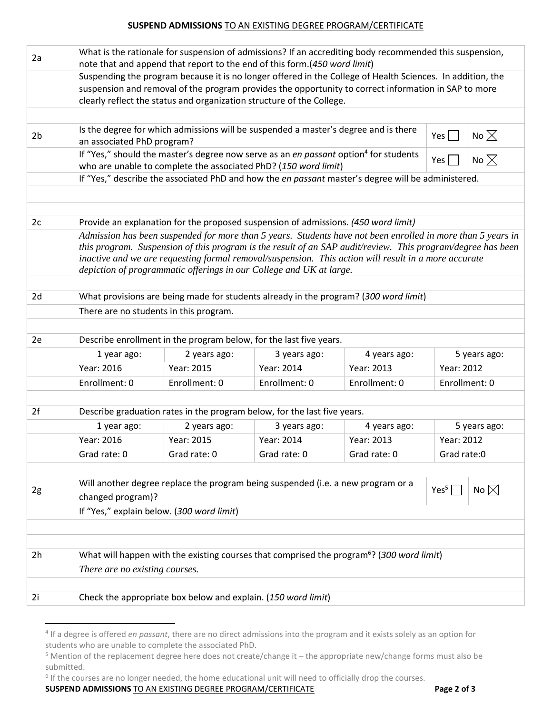#### **SUSPEND ADMISSIONS** TO AN EXISTING DEGREE PROGRAM/CERTIFICATE

| 2a                                                                                                                                                                                                      | What is the rationale for suspension of admissions? If an accrediting body recommended this suspension,<br>note that and append that report to the end of this form.(450 word limit) |                                                               |                                                                                                             |               |                                  |  |
|---------------------------------------------------------------------------------------------------------------------------------------------------------------------------------------------------------|--------------------------------------------------------------------------------------------------------------------------------------------------------------------------------------|---------------------------------------------------------------|-------------------------------------------------------------------------------------------------------------|---------------|----------------------------------|--|
|                                                                                                                                                                                                         |                                                                                                                                                                                      |                                                               | Suspending the program because it is no longer offered in the College of Health Sciences. In addition, the  |               |                                  |  |
|                                                                                                                                                                                                         | suspension and removal of the program provides the opportunity to correct information in SAP to more                                                                                 |                                                               |                                                                                                             |               |                                  |  |
|                                                                                                                                                                                                         |                                                                                                                                                                                      |                                                               | clearly reflect the status and organization structure of the College.                                       |               |                                  |  |
|                                                                                                                                                                                                         |                                                                                                                                                                                      |                                                               |                                                                                                             |               |                                  |  |
| 2 <sub>b</sub>                                                                                                                                                                                          |                                                                                                                                                                                      |                                                               | Is the degree for which admissions will be suspended a master's degree and is there                         |               | No $\boxtimes$<br>Yes $\vert$    |  |
|                                                                                                                                                                                                         | an associated PhD program?                                                                                                                                                           |                                                               |                                                                                                             |               |                                  |  |
|                                                                                                                                                                                                         |                                                                                                                                                                                      |                                                               | If "Yes," should the master's degree now serve as an en passant option <sup>4</sup> for students            |               | No $\boxtimes$<br>Yes $\sqrt{ }$ |  |
|                                                                                                                                                                                                         |                                                                                                                                                                                      |                                                               | who are unable to complete the associated PhD? (150 word limit)                                             |               |                                  |  |
|                                                                                                                                                                                                         | If "Yes," describe the associated PhD and how the en passant master's degree will be administered.                                                                                   |                                                               |                                                                                                             |               |                                  |  |
|                                                                                                                                                                                                         |                                                                                                                                                                                      |                                                               |                                                                                                             |               |                                  |  |
|                                                                                                                                                                                                         |                                                                                                                                                                                      |                                                               |                                                                                                             |               |                                  |  |
| 2c<br>Provide an explanation for the proposed suspension of admissions. (450 word limit)<br>Admission has been suspended for more than 5 years. Students have not been enrolled in more than 5 years in |                                                                                                                                                                                      |                                                               |                                                                                                             |               |                                  |  |
|                                                                                                                                                                                                         |                                                                                                                                                                                      |                                                               | this program. Suspension of this program is the result of an SAP audit/review. This program/degree has been |               |                                  |  |
|                                                                                                                                                                                                         |                                                                                                                                                                                      |                                                               |                                                                                                             |               |                                  |  |
|                                                                                                                                                                                                         | inactive and we are requesting formal removal/suspension. This action will result in a more accurate<br>depiction of programmatic offerings in our College and UK at large.          |                                                               |                                                                                                             |               |                                  |  |
|                                                                                                                                                                                                         |                                                                                                                                                                                      |                                                               |                                                                                                             |               |                                  |  |
| 2d<br>What provisions are being made for students already in the program? (300 word limit)                                                                                                              |                                                                                                                                                                                      |                                                               |                                                                                                             |               |                                  |  |
|                                                                                                                                                                                                         |                                                                                                                                                                                      | There are no students in this program.                        |                                                                                                             |               |                                  |  |
|                                                                                                                                                                                                         |                                                                                                                                                                                      |                                                               |                                                                                                             |               |                                  |  |
| 2e                                                                                                                                                                                                      |                                                                                                                                                                                      |                                                               | Describe enrollment in the program below, for the last five years.                                          |               |                                  |  |
|                                                                                                                                                                                                         | 1 year ago:                                                                                                                                                                          | 2 years ago:                                                  | 3 years ago:                                                                                                | 4 years ago:  | 5 years ago:                     |  |
|                                                                                                                                                                                                         | Year: 2016                                                                                                                                                                           | Year: 2015                                                    | Year: 2014                                                                                                  | Year: 2013    | Year: 2012                       |  |
|                                                                                                                                                                                                         | Enrollment: 0                                                                                                                                                                        | Enrollment: 0                                                 | Enrollment: 0                                                                                               | Enrollment: 0 | Enrollment: 0                    |  |
|                                                                                                                                                                                                         |                                                                                                                                                                                      |                                                               |                                                                                                             |               |                                  |  |
| 2f                                                                                                                                                                                                      |                                                                                                                                                                                      |                                                               | Describe graduation rates in the program below, for the last five years.                                    |               |                                  |  |
|                                                                                                                                                                                                         | 1 year ago:                                                                                                                                                                          | 2 years ago:                                                  | 3 years ago:                                                                                                | 4 years ago:  | 5 years ago:                     |  |
|                                                                                                                                                                                                         | Year: 2016                                                                                                                                                                           | Year: 2015                                                    | Year: 2014                                                                                                  | Year: 2013    | Year: 2012                       |  |
|                                                                                                                                                                                                         | Grad rate: 0                                                                                                                                                                         | Grad rate: 0                                                  | Grad rate: 0                                                                                                | Grad rate: 0  | Grad rate:0                      |  |
|                                                                                                                                                                                                         |                                                                                                                                                                                      |                                                               |                                                                                                             |               |                                  |  |
|                                                                                                                                                                                                         | Will another degree replace the program being suspended (i.e. a new program or a                                                                                                     |                                                               |                                                                                                             |               |                                  |  |
| 2g                                                                                                                                                                                                      | No $\boxtimes$<br>Yes <sup>5</sup><br>changed program)?                                                                                                                              |                                                               |                                                                                                             |               |                                  |  |
|                                                                                                                                                                                                         | If "Yes," explain below. (300 word limit)                                                                                                                                            |                                                               |                                                                                                             |               |                                  |  |
|                                                                                                                                                                                                         |                                                                                                                                                                                      |                                                               |                                                                                                             |               |                                  |  |
|                                                                                                                                                                                                         |                                                                                                                                                                                      |                                                               |                                                                                                             |               |                                  |  |
| 2h                                                                                                                                                                                                      | What will happen with the existing courses that comprised the program <sup>6</sup> ? (300 word limit)                                                                                |                                                               |                                                                                                             |               |                                  |  |
|                                                                                                                                                                                                         | There are no existing courses.                                                                                                                                                       |                                                               |                                                                                                             |               |                                  |  |
|                                                                                                                                                                                                         |                                                                                                                                                                                      |                                                               |                                                                                                             |               |                                  |  |
| 2i                                                                                                                                                                                                      |                                                                                                                                                                                      | Check the appropriate box below and explain. (150 word limit) |                                                                                                             |               |                                  |  |
|                                                                                                                                                                                                         |                                                                                                                                                                                      |                                                               |                                                                                                             |               |                                  |  |

 <sup>4</sup> If a degree is offered *en passant*, there are no direct admissions into the program and it exists solely as an option for students who are unable to complete the associated PhD.

**SUSPEND ADMISSIONS** TO AN EXISTING DEGREE PROGRAM/CERTIFICATE **Page 2 of 3**

<sup>5</sup> Mention of the replacement degree here does not create/change it – the appropriate new/change forms must also be submitted.

<sup>&</sup>lt;sup>6</sup> If the courses are no longer needed, the home educational unit will need to officially drop the courses.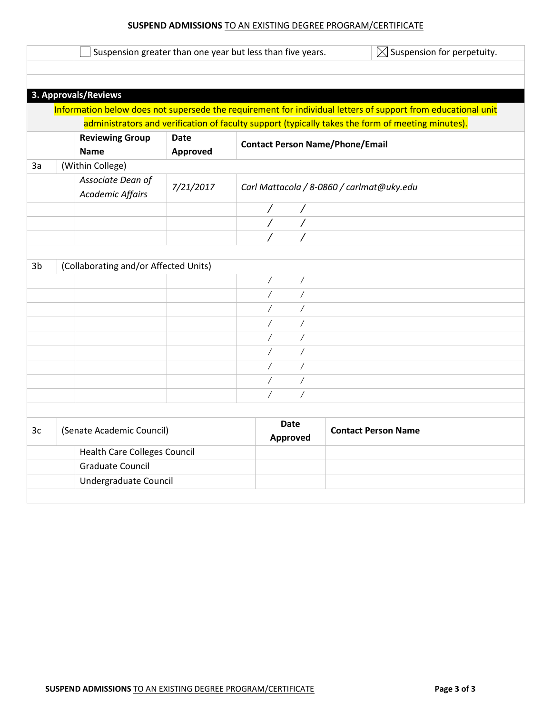## **SUSPEND ADMISSIONS** TO AN EXISTING DEGREE PROGRAM/CERTIFICATE

|                |                                              |             | $\boxtimes$ Suspension for perpetuity.<br>Suspension greater than one year but less than five years.                                                                                                              |
|----------------|----------------------------------------------|-------------|-------------------------------------------------------------------------------------------------------------------------------------------------------------------------------------------------------------------|
|                |                                              |             |                                                                                                                                                                                                                   |
|                |                                              |             |                                                                                                                                                                                                                   |
|                | 3. Approvals/Reviews                         |             |                                                                                                                                                                                                                   |
|                |                                              |             | Information below does not supersede the requirement for individual letters of support from educational unit<br>administrators and verification of faculty support (typically takes the form of meeting minutes). |
|                | <b>Reviewing Group</b>                       | <b>Date</b> |                                                                                                                                                                                                                   |
|                | <b>Name</b>                                  | Approved    | <b>Contact Person Name/Phone/Email</b>                                                                                                                                                                            |
| 3a             | (Within College)                             |             |                                                                                                                                                                                                                   |
|                | Associate Dean of<br><b>Academic Affairs</b> | 7/21/2017   | Carl Mattacola / 8-0860 / carlmat@uky.edu                                                                                                                                                                         |
|                |                                              |             | Τ                                                                                                                                                                                                                 |
|                |                                              |             |                                                                                                                                                                                                                   |
|                |                                              |             |                                                                                                                                                                                                                   |
|                |                                              |             |                                                                                                                                                                                                                   |
| 3 <sub>b</sub> | (Collaborating and/or Affected Units)        |             |                                                                                                                                                                                                                   |
|                |                                              |             | Γ<br>Γ                                                                                                                                                                                                            |
|                |                                              |             | $\overline{1}$<br>$\overline{1}$                                                                                                                                                                                  |
|                |                                              |             | $\overline{1}$<br>$\sqrt{2}$                                                                                                                                                                                      |
|                |                                              |             | Ϊ                                                                                                                                                                                                                 |
|                |                                              |             |                                                                                                                                                                                                                   |
|                |                                              |             | Τ<br>Γ                                                                                                                                                                                                            |
|                |                                              |             | $\overline{1}$<br>$\overline{1}$                                                                                                                                                                                  |
|                |                                              |             | Γ                                                                                                                                                                                                                 |
|                |                                              |             | Ϊ<br>Γ                                                                                                                                                                                                            |
|                |                                              |             | $\overline{1}$<br>Ϊ                                                                                                                                                                                               |
|                | (Senate Academic Council)                    |             | Date<br><b>Contact Person Name</b><br>Approved                                                                                                                                                                    |
|                | <b>Health Care Colleges Council</b>          |             |                                                                                                                                                                                                                   |
| 3c             | <b>Graduate Council</b>                      |             |                                                                                                                                                                                                                   |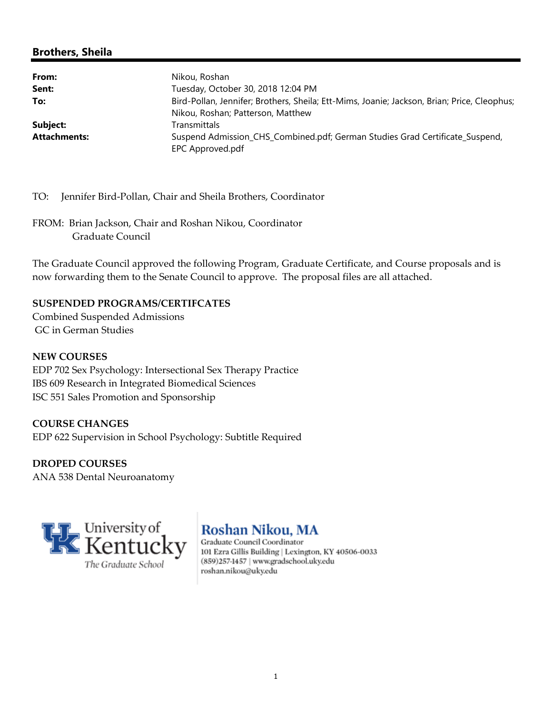# **Brothers, Sheila**

| From:               | Nikou, Roshan                                                                                                                    |
|---------------------|----------------------------------------------------------------------------------------------------------------------------------|
| Sent:               | Tuesday, October 30, 2018 12:04 PM                                                                                               |
| To:                 | Bird-Pollan, Jennifer; Brothers, Sheila; Ett-Mims, Joanie; Jackson, Brian; Price, Cleophus;<br>Nikou, Roshan; Patterson, Matthew |
| Subject:            | Transmittals                                                                                                                     |
| <b>Attachments:</b> | Suspend Admission_CHS_Combined.pdf; German Studies Grad Certificate_Suspend,<br>EPC Approved.pdf                                 |

TO: Jennifer Bird‐Pollan, Chair and Sheila Brothers, Coordinator

FROM: Brian Jackson, Chair and Roshan Nikou, Coordinator Graduate Council

The Graduate Council approved the following Program, Graduate Certificate, and Course proposals and is now forwarding them to the Senate Council to approve. The proposal files are all attached.

#### **SUSPENDED PROGRAMS/CERTIFCATES**

Combined Suspended Admissions GC in German Studies

#### **NEW COURSES**

EDP 702 Sex Psychology: Intersectional Sex Therapy Practice IBS 609 Research in Integrated Biomedical Sciences ISC 551 Sales Promotion and Sponsorship

# **COURSE CHANGES** EDP 622 Supervision in School Psychology: Subtitle Required

**DROPED COURSES** ANA 538 Dental Neuroanatomy



# **Roshan Nikou, MA**

Graduate Council Coordinator 101 Ezra Gillis Building | Lexington, KY 40506-0033 (859)257-1457 | www.gradschool.uky.edu roshan.nikou@uky.edu